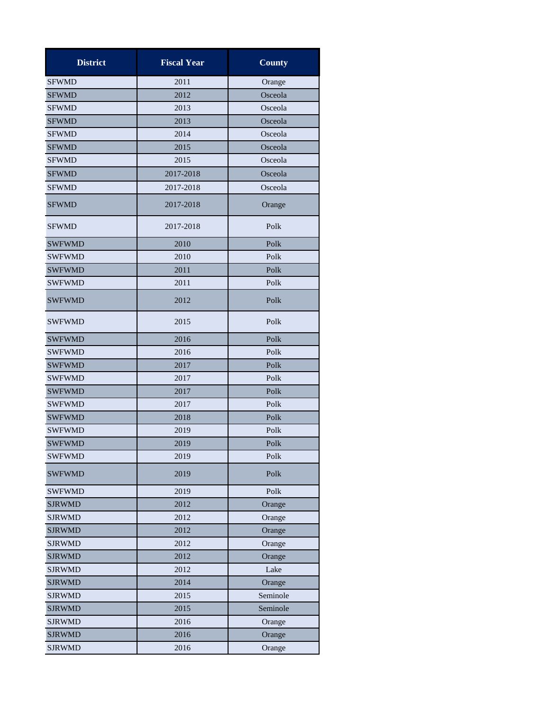| <b>District</b> | <b>Fiscal Year</b> | <b>County</b> |
|-----------------|--------------------|---------------|
| <b>SFWMD</b>    | 2011               | Orange        |
| <b>SFWMD</b>    | 2012               | Osceola       |
| <b>SFWMD</b>    | 2013               | Osceola       |
| <b>SFWMD</b>    | 2013               | Osceola       |
| <b>SFWMD</b>    | 2014               | Osceola       |
| <b>SFWMD</b>    | 2015               | Osceola       |
| <b>SFWMD</b>    | 2015               | Osceola       |
| <b>SFWMD</b>    | 2017-2018          | Osceola       |
| <b>SFWMD</b>    | 2017-2018          | Osceola       |
| <b>SFWMD</b>    | 2017-2018          | Orange        |
| <b>SFWMD</b>    | 2017-2018          | Polk          |
| <b>SWFWMD</b>   | 2010               | Polk          |
| <b>SWFWMD</b>   | 2010               | Polk          |
| <b>SWFWMD</b>   | 2011               | Polk          |
| <b>SWFWMD</b>   | 2011               | Polk          |
| <b>SWFWMD</b>   | 2012               | Polk          |
| <b>SWFWMD</b>   | 2015               | Polk          |
| <b>SWFWMD</b>   | 2016               | Polk          |
| <b>SWFWMD</b>   | 2016               | Polk          |
| <b>SWFWMD</b>   | 2017               | Polk          |
| <b>SWFWMD</b>   | 2017               | Polk          |
| <b>SWFWMD</b>   | 2017               | Polk          |
| <b>SWFWMD</b>   | 2017               | Polk          |
| <b>SWFWMD</b>   | 2018               | Polk          |
| <b>SWFWMD</b>   | 2019               | Polk          |
| <b>SWFWMD</b>   | 2019               | Polk          |
| <b>SWFWMD</b>   | 2019               | Polk          |
| <b>SWFWMD</b>   | 2019               | Polk          |
| <b>SWFWMD</b>   | 2019               | Polk          |
| <b>SJRWMD</b>   | 2012               | Orange        |
| <b>SJRWMD</b>   | 2012               | Orange        |
| <b>SJRWMD</b>   | 2012               | Orange        |
| <b>SJRWMD</b>   | 2012               | Orange        |
| <b>SJRWMD</b>   | 2012               | Orange        |
| <b>SJRWMD</b>   | 2012               | Lake          |
| <b>SJRWMD</b>   | 2014               | Orange        |
| <b>SJRWMD</b>   | 2015               | Seminole      |
| <b>SJRWMD</b>   | 2015               | Seminole      |
| <b>SJRWMD</b>   | 2016               | Orange        |
| <b>SJRWMD</b>   | 2016               | Orange        |
| <b>SJRWMD</b>   | 2016               | Orange        |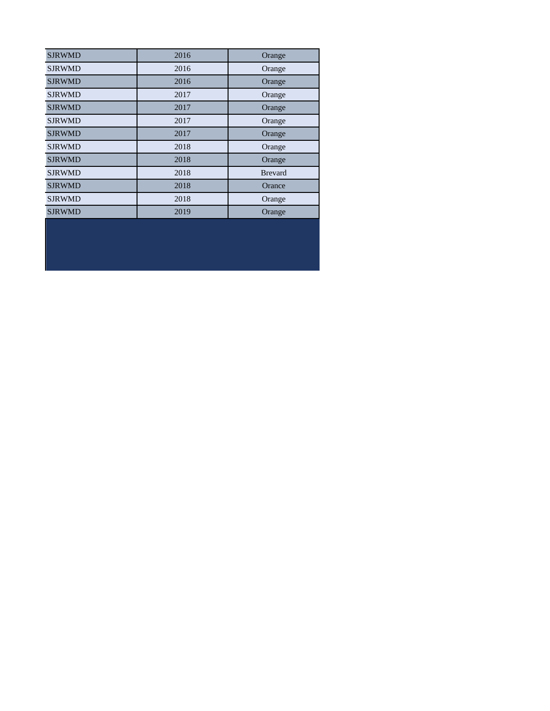| <b>SJRWMD</b> | 2016 | Orange         |
|---------------|------|----------------|
| <b>SJRWMD</b> | 2016 | Orange         |
| <b>SJRWMD</b> | 2016 | Orange         |
| <b>SJRWMD</b> | 2017 | Orange         |
| <b>SJRWMD</b> | 2017 | Orange         |
| <b>SJRWMD</b> | 2017 | Orange         |
| <b>SJRWMD</b> | 2017 | Orange         |
| <b>SJRWMD</b> | 2018 | Orange         |
| <b>SJRWMD</b> | 2018 | Orange         |
| <b>SJRWMD</b> | 2018 | <b>Brevard</b> |
| <b>SJRWMD</b> | 2018 | Orance         |
| <b>SJRWMD</b> | 2018 | Orange         |
| <b>SJRWMD</b> | 2019 | Orange         |
|               |      |                |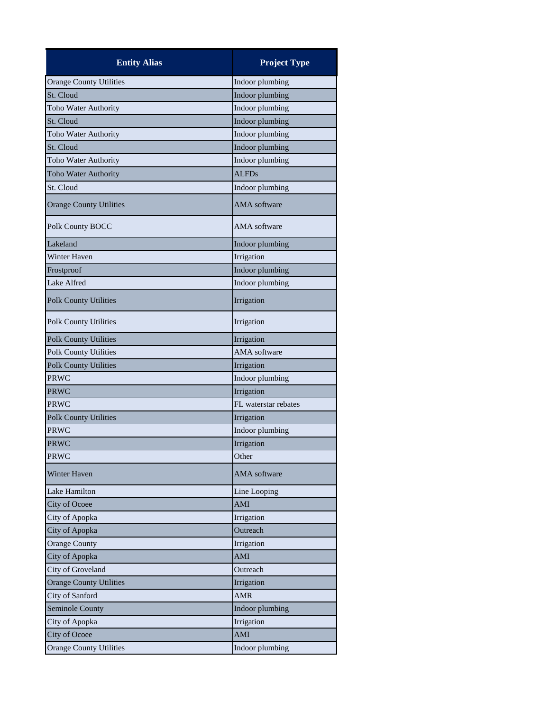| <b>Entity Alias</b>            | <b>Project Type</b>  |
|--------------------------------|----------------------|
| <b>Orange County Utilities</b> | Indoor plumbing      |
| St. Cloud                      | Indoor plumbing      |
| Toho Water Authority           | Indoor plumbing      |
| St. Cloud                      | Indoor plumbing      |
| Toho Water Authority           | Indoor plumbing      |
| St. Cloud                      | Indoor plumbing      |
| Toho Water Authority           | Indoor plumbing      |
| <b>Toho Water Authority</b>    | <b>ALFDs</b>         |
| St. Cloud                      | Indoor plumbing      |
| <b>Orange County Utilities</b> | <b>AMA</b> software  |
| Polk County BOCC               | <b>AMA</b> software  |
| Lakeland                       | Indoor plumbing      |
| <b>Winter Haven</b>            | Irrigation           |
| Frostproof                     | Indoor plumbing      |
| Lake Alfred                    | Indoor plumbing      |
| <b>Polk County Utilities</b>   | Irrigation           |
| <b>Polk County Utilities</b>   | Irrigation           |
| <b>Polk County Utilities</b>   | Irrigation           |
| <b>Polk County Utilities</b>   | <b>AMA</b> software  |
| <b>Polk County Utilities</b>   | Irrigation           |
| PRWC                           | Indoor plumbing      |
| PRWC                           | Irrigation           |
| <b>PRWC</b>                    | FL waterstar rebates |
| <b>Polk County Utilities</b>   | Irrigation           |
| <b>PRWC</b>                    | Indoor plumbing      |
| PRWC                           | Irrigation           |
| <b>PRWC</b>                    | Other                |
| Winter Haven                   | <b>AMA</b> software  |
| Lake Hamilton                  | Line Looping         |
| City of Ocoee                  | AMI                  |
| City of Apopka                 | Irrigation           |
| City of Apopka                 | Outreach             |
| <b>Orange County</b>           | Irrigation           |
| City of Apopka                 | AMI                  |
| City of Groveland              | Outreach             |
| <b>Orange County Utilities</b> | Irrigation           |
| City of Sanford                | <b>AMR</b>           |
| Seminole County                | Indoor plumbing      |
| City of Apopka                 | Irrigation           |
| <b>City of Ocoee</b>           | AMI                  |
| <b>Orange County Utilities</b> | Indoor plumbing      |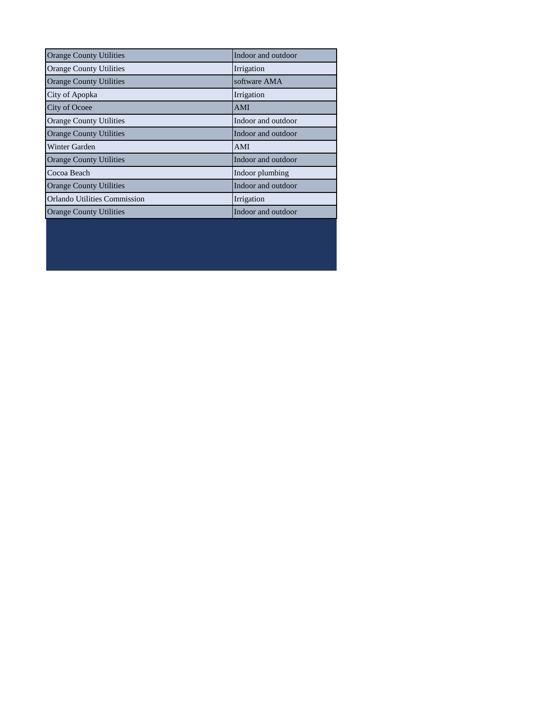| <b>Orange County Utilities</b>      | Indoor and outdoor |
|-------------------------------------|--------------------|
| <b>Orange County Utilities</b>      | Irrigation         |
| <b>Orange County Utilities</b>      | software AMA       |
| City of Apopka                      | Irrigation         |
| City of Ocoee                       | <b>AMI</b>         |
| <b>Orange County Utilities</b>      | Indoor and outdoor |
| <b>Orange County Utilities</b>      | Indoor and outdoor |
| Winter Garden                       | AMI                |
| <b>Orange County Utilities</b>      | Indoor and outdoor |
| Cocoa Beach                         | Indoor plumbing    |
| <b>Orange County Utilities</b>      | Indoor and outdoor |
| <b>Orlando Utilities Commission</b> | Irrigation         |
| <b>Orange County Utilities</b>      | Indoor and outdoor |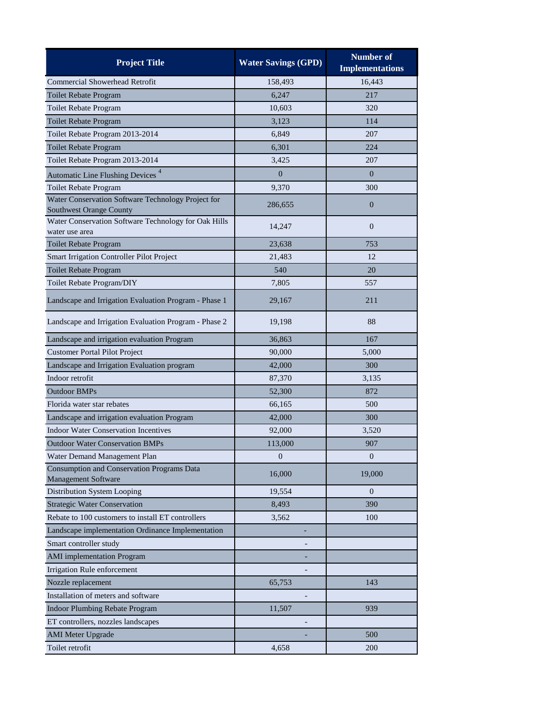| <b>Project Title</b>                                                                 | <b>Water Savings (GPD)</b> | <b>Number of</b><br><b>Implementations</b> |
|--------------------------------------------------------------------------------------|----------------------------|--------------------------------------------|
| Commercial Showerhead Retrofit                                                       | 158,493                    | 16,443                                     |
| <b>Toilet Rebate Program</b>                                                         | 6,247                      | 217                                        |
| Toilet Rebate Program                                                                | 10,603                     | 320                                        |
| Toilet Rebate Program                                                                | 3,123                      | 114                                        |
| Toilet Rebate Program 2013-2014                                                      | 6,849                      | 207                                        |
| Toilet Rebate Program                                                                | 6,301                      | 224                                        |
| Toilet Rebate Program 2013-2014                                                      | 3,425                      | 207                                        |
| Automatic Line Flushing Devices <sup>4</sup>                                         | $\overline{0}$             | $\overline{0}$                             |
| Toilet Rebate Program                                                                | 9,370                      | 300                                        |
| Water Conservation Software Technology Project for<br><b>Southwest Orange County</b> | 286,655                    | $\overline{0}$                             |
| Water Conservation Software Technology for Oak Hills<br>water use area               | 14,247                     | $\overline{0}$                             |
| Toilet Rebate Program                                                                | 23,638                     | 753                                        |
| Smart Irrigation Controller Pilot Project                                            | 21,483                     | 12                                         |
| <b>Toilet Rebate Program</b>                                                         | 540                        | 20                                         |
| Toilet Rebate Program/DIY                                                            | 7,805                      | 557                                        |
| Landscape and Irrigation Evaluation Program - Phase 1                                | 29,167                     | 211                                        |
| Landscape and Irrigation Evaluation Program - Phase 2                                | 19,198                     | 88                                         |
| Landscape and irrigation evaluation Program                                          | 36,863                     | 167                                        |
| <b>Customer Portal Pilot Project</b>                                                 | 90,000                     | 5,000                                      |
| Landscape and Irrigation Evaluation program                                          | 42,000                     | 300                                        |
| Indoor retrofit                                                                      | 87,370                     | 3,135                                      |
| <b>Outdoor BMPs</b>                                                                  | 52,300                     | 872                                        |
| Florida water star rebates                                                           | 66,165                     | 500                                        |
| Landscape and irrigation evaluation Program                                          | 42,000                     | 300                                        |
| <b>Indoor Water Conservation Incentives</b>                                          | 92,000                     | 3,520                                      |
| <b>Outdoor Water Conservation BMPs</b>                                               | 113,000                    | 907                                        |
| Water Demand Management Plan                                                         | $\boldsymbol{0}$           | $\boldsymbol{0}$                           |
| Consumption and Conservation Programs Data<br>Management Software                    | 16,000                     | 19,000                                     |
| Distribution System Looping                                                          | 19,554                     | $\overline{0}$                             |
| <b>Strategic Water Conservation</b>                                                  | 8,493                      | 390                                        |
| Rebate to 100 customers to install ET controllers                                    | 3,562                      | 100                                        |
| Landscape implementation Ordinance Implementation                                    | ٠                          |                                            |
| Smart controller study                                                               |                            |                                            |
| <b>AMI</b> implementation Program                                                    |                            |                                            |
| Irrigation Rule enforcement                                                          |                            |                                            |
| Nozzle replacement                                                                   | 65,753                     | 143                                        |
| Installation of meters and software                                                  |                            |                                            |
| Indoor Plumbing Rebate Program                                                       | 11,507                     | 939                                        |
| ET controllers, nozzles landscapes                                                   |                            |                                            |
| <b>AMI</b> Meter Upgrade                                                             |                            | 500                                        |
| Toilet retrofit                                                                      | 4,658                      | 200                                        |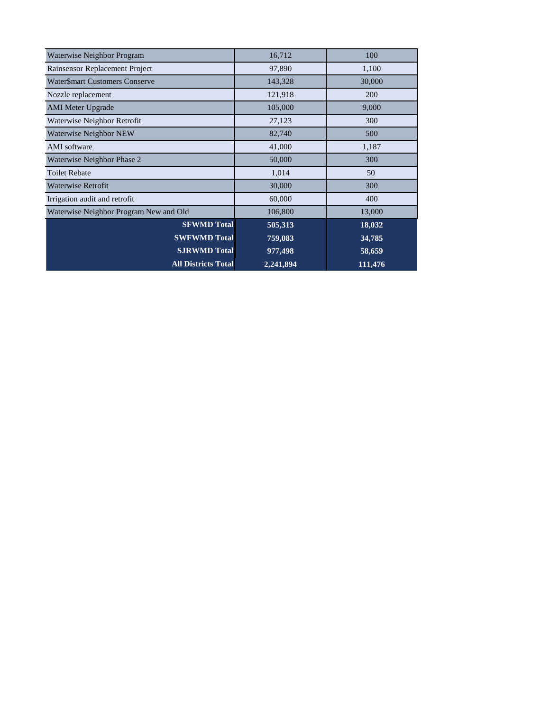| Waterwise Neighbor Program             | 16,712    | 100     |
|----------------------------------------|-----------|---------|
| Rainsensor Replacement Project         | 97,890    | 1,100   |
| Water\$mart Customers Conserve         | 143,328   | 30,000  |
| Nozzle replacement                     | 121,918   | 200     |
| <b>AMI</b> Meter Upgrade               | 105,000   | 9,000   |
| Waterwise Neighbor Retrofit            | 27,123    | 300     |
| Waterwise Neighbor NEW                 | 82,740    | 500     |
| AMI software                           | 41,000    | 1,187   |
| Waterwise Neighbor Phase 2             | 50,000    | 300     |
| <b>Toilet Rebate</b>                   | 1,014     | 50      |
| Waterwise Retrofit                     | 30,000    | 300     |
| Irrigation audit and retrofit          | 60,000    | 400     |
| Waterwise Neighbor Program New and Old | 106,800   | 13,000  |
| <b>SFWMD Total</b>                     | 505,313   | 18,032  |
| <b>SWFWMD Total</b>                    | 759,083   | 34,785  |
| <b>SJRWMD Total</b>                    | 977,498   | 58,659  |
| <b>All Districts Total</b>             | 2,241,894 | 111,476 |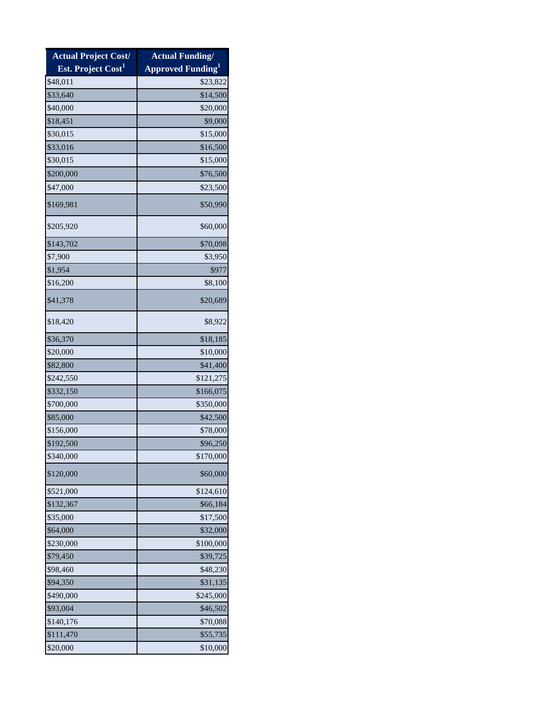| <b>Actual Project Cost/</b>    | <b>Actual Funding/</b>               |
|--------------------------------|--------------------------------------|
| Est. Project Cost <sup>1</sup> | <b>Approved Funding</b> <sup>1</sup> |
| \$48,011                       | \$23,822                             |
| \$33,640                       | \$14,500                             |
| \$40,000                       | \$20,000                             |
| \$18,451                       | \$9,000                              |
| \$30,015                       | \$15,000                             |
| \$33,016                       | \$16,500                             |
| \$30,015                       | \$15,000                             |
| \$200,000                      | \$76,500                             |
| \$47,000                       | \$23,500                             |
| \$169,981                      | \$50,990                             |
| \$205,920                      | \$60,000                             |
| \$143,702                      | \$70,098                             |
| \$7,900                        | \$3,950                              |
| \$1,954                        | \$977                                |
| \$16,200                       | \$8,100                              |
| \$41,378                       | \$20,689                             |
| \$18,420                       | \$8,922                              |
| \$36,370                       | \$18,185                             |
| \$20,000                       | \$10,000                             |
| \$82,800                       | \$41,400                             |
| \$242,550                      | \$121,275                            |
| \$332,150                      | \$166,075                            |
| \$700,000                      | \$350,000                            |
| \$85,000                       | \$42,500                             |
| \$156,000                      | \$78,000                             |
| \$192,500                      | \$96,250                             |
| \$340,000                      | \$170,000                            |
| \$120,000                      | \$60,000                             |
| \$521,000                      | \$124,610                            |
| \$132,367                      | \$66,184                             |
| \$35,000                       | \$17,500                             |
| \$64,000                       | \$32,000                             |
| \$230,000                      | \$100,000                            |
| \$79,450                       | \$39,725                             |
| \$98,460                       | \$48,230                             |
| \$94,350                       | \$31,135                             |
| \$490,000                      | \$245,000                            |
| \$93,004                       | \$46,502                             |
| \$140,176                      | \$70,088                             |
| \$111,470                      | \$55,735                             |
| \$20,000                       | \$10,000                             |